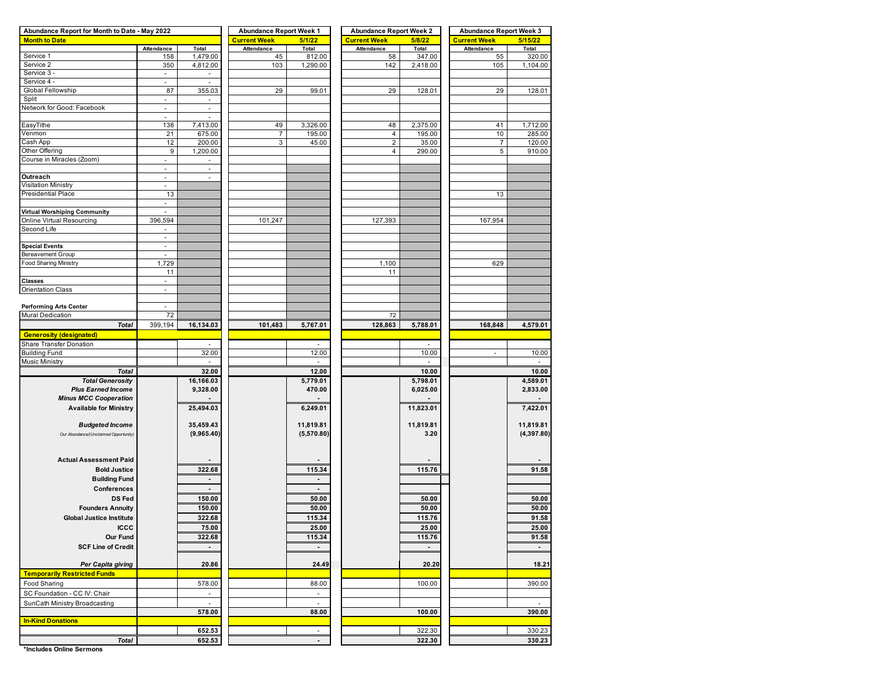| Abundance Report for Month to Date - May 2022 |                          |                          | <b>Abundance Report Week 1</b> |                          | <b>Abundance Report Week 2</b> |                | <b>Abundance Report Week 3</b> |                |  |  |  |
|-----------------------------------------------|--------------------------|--------------------------|--------------------------------|--------------------------|--------------------------------|----------------|--------------------------------|----------------|--|--|--|
| <b>Month to Date</b>                          |                          |                          | <b>Current Week</b>            | 5/1/22                   | <b>Current Week</b>            | 5/8/22         | <b>Current Week</b>            | 5/15/22        |  |  |  |
|                                               | Attendance               | Total                    | Attendance                     | Total                    | Attendance                     | Total          | Attendance                     | Total          |  |  |  |
| Service 1                                     | 158                      | 1,479.00                 | 45                             | 812.00                   | 58                             | 347.00         | 55                             | 320.00         |  |  |  |
| Service 2                                     | 350                      | 4,812.00                 | 103                            | 1,290.00                 | 142                            | 2,418.00       | 105                            | 1,104.00       |  |  |  |
| Service 3                                     | $\overline{\phantom{a}}$ |                          |                                |                          |                                |                |                                |                |  |  |  |
| Service 4 -                                   | $\overline{\phantom{a}}$ | $\omega$                 |                                |                          |                                |                |                                |                |  |  |  |
| Global Fellowship                             | 87                       | 355.03                   | 29                             | 99.01                    | 29                             | 128.01         | 29                             | 128.01         |  |  |  |
| Split                                         | ä,                       |                          |                                |                          |                                |                |                                |                |  |  |  |
| Network for Good: Facebook                    | $\overline{\phantom{a}}$ | $\overline{\phantom{a}}$ |                                |                          |                                |                |                                |                |  |  |  |
|                                               | ٠                        |                          |                                |                          |                                |                |                                |                |  |  |  |
| EasyTithe                                     | 138                      | 7,413.00                 | 49                             | 3,326.00                 | 48                             | 2,375.00       | 41                             | 1,712.00       |  |  |  |
| √enmon                                        |                          |                          |                                |                          |                                |                | 10                             |                |  |  |  |
|                                               | 21                       | 675.00                   | $\overline{7}$                 | 195.00                   | $\overline{4}$                 | 195.00         |                                | 285.00         |  |  |  |
| Cash App                                      | 12                       | 200.00                   | 3                              | 45.00                    | $\overline{c}$                 | 35.00          | $\overline{7}$                 | 120.00         |  |  |  |
| Other Offering                                | 9                        | 1,200.00                 |                                |                          | $\overline{4}$                 | 290.00         | 5                              | 910.00         |  |  |  |
| Course in Miracles (Zoom)                     | $\overline{\phantom{a}}$ | $\overline{\phantom{a}}$ |                                |                          |                                |                |                                |                |  |  |  |
|                                               | ä,                       | ×,                       |                                |                          |                                |                |                                |                |  |  |  |
| Outreach                                      | ä,                       | ×,                       |                                |                          |                                |                |                                |                |  |  |  |
| <b>Visitation Ministry</b>                    | ÷,                       |                          |                                |                          |                                |                |                                |                |  |  |  |
| Presidential Place                            | 13                       |                          |                                |                          |                                |                | 13                             |                |  |  |  |
|                                               | ۰                        |                          |                                |                          |                                |                |                                |                |  |  |  |
| Virtual Worshiping Community                  | ÷,                       |                          |                                |                          |                                |                |                                |                |  |  |  |
| Online Virtual Resourcing                     | 396,594                  |                          | 101,247                        |                          | 127,393                        |                | 167,954                        |                |  |  |  |
| Second Life                                   | $\overline{\phantom{a}}$ |                          |                                |                          |                                |                |                                |                |  |  |  |
|                                               | $\overline{\phantom{a}}$ |                          |                                |                          |                                |                |                                |                |  |  |  |
| <b>Special Events</b>                         | $\overline{\phantom{a}}$ |                          |                                |                          |                                |                |                                |                |  |  |  |
| Bereavement Group                             |                          |                          |                                |                          |                                |                |                                |                |  |  |  |
|                                               |                          |                          |                                |                          |                                |                |                                |                |  |  |  |
| Food Sharing Ministry                         | 1,729                    |                          |                                |                          | 1,100                          |                | 629                            |                |  |  |  |
|                                               | 11                       |                          |                                |                          | 11                             |                |                                |                |  |  |  |
| Classes                                       | $\blacksquare$           |                          |                                |                          |                                |                |                                |                |  |  |  |
| <b>Orientation Class</b>                      | $\blacksquare$           |                          |                                |                          |                                |                |                                |                |  |  |  |
|                                               |                          |                          |                                |                          |                                |                |                                |                |  |  |  |
| <b>Performing Arts Center</b>                 | $\sim$                   |                          |                                |                          |                                |                |                                |                |  |  |  |
| Mural Dedication                              | 72                       |                          |                                |                          | 72                             |                |                                |                |  |  |  |
| <b>Total</b>                                  | 399,194                  | 16,134.03                | 101,483                        | 5,767.01                 | 128,863                        | 5,788.01       | 168,848                        | 4,579.01       |  |  |  |
| <b>Generosity (designated)</b>                |                          |                          |                                |                          |                                |                |                                |                |  |  |  |
| <b>Share Transfer Donation</b>                |                          |                          |                                |                          |                                |                |                                |                |  |  |  |
|                                               |                          |                          |                                |                          |                                |                |                                |                |  |  |  |
| <b>Building Fund</b>                          |                          | 32.00                    |                                | 12.00                    |                                | 10.00          | $\overline{\phantom{a}}$       | 10.00          |  |  |  |
| <b>Music Ministry</b>                         |                          |                          |                                |                          |                                |                |                                |                |  |  |  |
| <b>Total</b>                                  |                          | 32.00                    |                                | 12.00                    |                                | 10.00          |                                | 10.00          |  |  |  |
| <b>Total Generosity</b>                       |                          | 16,166.03                |                                | 5,779.01                 |                                | 5,798.01       |                                | 4,589.01       |  |  |  |
| <b>Plus Earned Income</b>                     |                          | 9,328.00                 |                                | 470.00                   |                                | 6,025.00       |                                | 2,833.00       |  |  |  |
| <b>Minus MCC Cooperation</b>                  |                          |                          |                                |                          |                                |                |                                |                |  |  |  |
| <b>Available for Ministry</b>                 |                          | 25,494.03                |                                | 6,249.01                 |                                | 11,823.01      |                                | 7,422.01       |  |  |  |
|                                               |                          |                          |                                |                          |                                |                |                                |                |  |  |  |
|                                               |                          | 35,459.43                |                                | 11,819.81                |                                | 11,819.81      |                                | 11,819.81      |  |  |  |
| <b>Budgeted Income</b>                        |                          |                          |                                |                          |                                |                |                                |                |  |  |  |
| Our Abundance/(Unclaimed Opportunity)         |                          | (9,965.40)               |                                | (5,570.80)               |                                | 3.20           |                                | (4, 397.80)    |  |  |  |
|                                               |                          |                          |                                |                          |                                |                |                                |                |  |  |  |
|                                               |                          |                          |                                |                          |                                |                |                                |                |  |  |  |
| <b>Actual Assessment Paid</b>                 |                          |                          |                                |                          |                                |                |                                |                |  |  |  |
| <b>Bold Justice</b>                           |                          | 322.68                   |                                | 115.34                   |                                | 115.76         |                                | 91.58          |  |  |  |
| <b>Building Fund</b>                          |                          |                          |                                |                          |                                |                |                                |                |  |  |  |
| Conferences                                   |                          | $\overline{a}$           |                                | $\overline{a}$           |                                |                |                                |                |  |  |  |
| <b>DS Fed</b>                                 |                          | 150.00                   |                                | 50.00                    |                                | 50.00          |                                | 50.00          |  |  |  |
|                                               |                          |                          |                                |                          |                                |                |                                |                |  |  |  |
| <b>Founders Annuity</b>                       |                          | 150.00                   |                                | 50.00                    |                                | 50.00          |                                | 50.00          |  |  |  |
| <b>Global Justice Institute</b>               |                          | 322.68                   |                                | 115.34                   |                                | 115.76         |                                | 91.58          |  |  |  |
| <b>ICCC</b>                                   |                          | 75.00                    |                                | 25.00                    |                                | 25.00          |                                | 25.00          |  |  |  |
| Our Fund                                      |                          | 322.68                   |                                | 115.34                   |                                | 115.76         |                                | 91.58          |  |  |  |
| <b>SCF Line of Credit</b>                     |                          | $\blacksquare$           |                                | $\blacksquare$           |                                | $\blacksquare$ |                                | $\blacksquare$ |  |  |  |
|                                               |                          |                          |                                |                          |                                |                |                                |                |  |  |  |
|                                               |                          |                          |                                |                          |                                |                |                                |                |  |  |  |
| Per Capita giving                             |                          | 20.86                    |                                | 24.49                    |                                | 20.20          |                                | 18.21          |  |  |  |
| <b>Temporarily Restricted Funds</b>           |                          |                          |                                |                          |                                |                |                                |                |  |  |  |
| Food Sharing                                  |                          | 578.00                   |                                | 88.00                    |                                | 100.00         |                                | 390.00         |  |  |  |
| SC Foundation - CC IV: Chair                  |                          | $\overline{\phantom{a}}$ |                                | $\overline{\phantom{a}}$ |                                |                |                                |                |  |  |  |
| SunCath Ministry Broadcasting                 |                          | $\sim$                   |                                | ×.                       |                                |                |                                | ٠              |  |  |  |
|                                               |                          | 578.00                   |                                | 88.00                    |                                | 100.00         |                                | 390.00         |  |  |  |
|                                               |                          |                          |                                |                          |                                |                |                                |                |  |  |  |
| <b>In-Kind Donations</b>                      |                          |                          |                                |                          |                                |                |                                |                |  |  |  |
|                                               |                          | 652.53                   |                                | $\sim$                   |                                | 322.30         |                                | 330.23         |  |  |  |
| <b>Total</b>                                  |                          | 652.53                   |                                |                          |                                | 322.30         |                                | 330.23         |  |  |  |

**\*Includes Online Sermons**